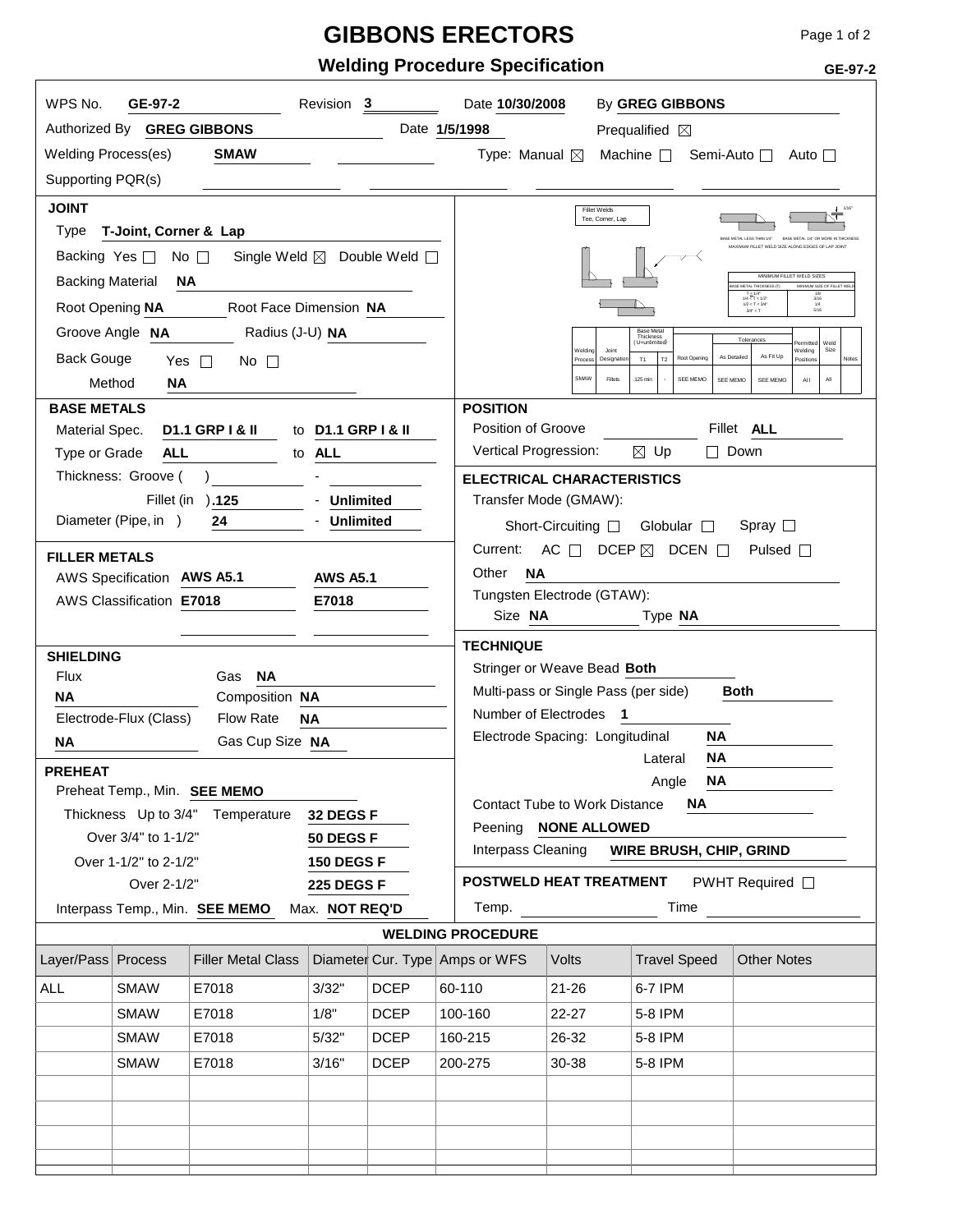## **GIBBONS ERECTORS**

**Welding Procedure Specification**

| WPS No.<br>GE-97-2<br>Revision 3<br>By GREG GIBBONS<br>Date 10/30/2008 |                          |                                          |                                |                       |                                             |                                                                                                                                                                                                                                                                                                                   |                                   |                       |  |  |
|------------------------------------------------------------------------|--------------------------|------------------------------------------|--------------------------------|-----------------------|---------------------------------------------|-------------------------------------------------------------------------------------------------------------------------------------------------------------------------------------------------------------------------------------------------------------------------------------------------------------------|-----------------------------------|-----------------------|--|--|
| Authorized By GREG GIBBONS                                             |                          |                                          |                                |                       | Date 1/5/1998                               | Prequalified $\boxtimes$                                                                                                                                                                                                                                                                                          |                                   |                       |  |  |
| <b>Welding Process(es)</b>                                             |                          | <b>SMAW</b>                              |                                |                       | Type: Manual ⊠                              |                                                                                                                                                                                                                                                                                                                   | Machine $\Box$                    | Semi-Auto □<br>Auto ⊟ |  |  |
| Supporting PQR(s)                                                      |                          |                                          |                                |                       |                                             |                                                                                                                                                                                                                                                                                                                   |                                   |                       |  |  |
| <b>JOINT</b>                                                           |                          |                                          |                                |                       |                                             |                                                                                                                                                                                                                                                                                                                   | <b>Fillet Welds</b>               |                       |  |  |
| Type                                                                   | T-Joint, Corner & Lap    |                                          |                                |                       |                                             |                                                                                                                                                                                                                                                                                                                   | Tee, Corner, Lap                  |                       |  |  |
| Backing Yes $\Box$                                                     |                          | No $\Box$<br>Single Weld ⊠ Double Weld □ |                                |                       |                                             | BASE METAL LESS THAN 1/<br>MAXIMUM FILLET WELD SIZE ALONG EDGES OF LAP JOIN                                                                                                                                                                                                                                       |                                   |                       |  |  |
| <b>Backing Material</b>                                                | <b>NA</b>                |                                          |                                |                       |                                             | MINIMUM FILLET WELD SIZES<br>MINIMUM SIZE OF FILLET WRIT<br>ASE METAL THICKNESS (T)                                                                                                                                                                                                                               |                                   |                       |  |  |
| Root Opening NA                                                        |                          | Root Face Dimension NA                   |                                |                       |                                             | $\begin{array}{c} 1/8 \\ 3/16 \\ 1/4 \end{array}$<br>$\begin{array}{c} T\leq 1/4^* \\ 1/45/163/4" < T$                                                                                                                                                                                                            |                                   |                       |  |  |
|                                                                        | Groove Angle NA          | Radius (J-U) NA                          |                                |                       |                                             | Base Metal<br>Thickness<br>Tolerances<br>(U=unlimited)<br>Weld<br>Welding<br>Welding<br>Joint<br>Size<br>As Fit Up<br>As Detailed<br>Root Opening<br>Process<br>Designati<br>T1<br>T <sub>2</sub><br>Position<br>Notes<br>SMAW<br>Fillets<br>SEE MEMO<br>$A\parallel$<br>.125 min<br>SEE MEMO<br>SEE MEMO<br>Al I |                                   |                       |  |  |
| <b>Back Gouge</b>                                                      | Yes $\square$            | No $\Box$                                |                                |                       |                                             |                                                                                                                                                                                                                                                                                                                   |                                   |                       |  |  |
| Method                                                                 | ΝA                       |                                          |                                |                       |                                             |                                                                                                                                                                                                                                                                                                                   |                                   |                       |  |  |
| <b>BASE METALS</b>                                                     |                          |                                          |                                |                       | <b>POSITION</b>                             |                                                                                                                                                                                                                                                                                                                   |                                   |                       |  |  |
| Material Spec.                                                         |                          | <b>D1.1 GRP I &amp; II</b>               | to D1.1 GRP I & II             |                       | Position of Groove                          |                                                                                                                                                                                                                                                                                                                   |                                   | Fillet ALL            |  |  |
| Type or Grade                                                          | <b>ALL</b>               |                                          | to ALL                         |                       | Vertical Progression:                       |                                                                                                                                                                                                                                                                                                                   | $\boxtimes$ Up                    | $\Box$ Down           |  |  |
|                                                                        | Thickness: Groove (      |                                          |                                |                       |                                             |                                                                                                                                                                                                                                                                                                                   | <b>ELECTRICAL CHARACTERISTICS</b> |                       |  |  |
| Fillet (in ).125<br><b>Unlimited</b>                                   |                          |                                          |                                | Transfer Mode (GMAW): |                                             |                                                                                                                                                                                                                                                                                                                   |                                   |                       |  |  |
|                                                                        | Diameter (Pipe, in )     | 24                                       | <b>Unlimited</b>               |                       |                                             | Short-Circuiting $\square$                                                                                                                                                                                                                                                                                        | Globular $\Box$                   | Spray $\square$       |  |  |
| <b>FILLER METALS</b>                                                   |                          |                                          |                                |                       | Current:                                    | $AC \Box$<br>DCEP $\boxtimes$<br>DCEN $\Box$<br>Pulsed $\Box$                                                                                                                                                                                                                                                     |                                   |                       |  |  |
|                                                                        | <b>AWS Specification</b> | <b>AWS A5.1</b>                          | <b>AWS A5.1</b>                |                       | <b>NA</b><br>Other                          |                                                                                                                                                                                                                                                                                                                   |                                   |                       |  |  |
|                                                                        | AWS Classification E7018 |                                          | E7018                          |                       | Tungsten Electrode (GTAW):<br>Size NA       |                                                                                                                                                                                                                                                                                                                   |                                   |                       |  |  |
|                                                                        |                          |                                          |                                |                       |                                             | Type NA                                                                                                                                                                                                                                                                                                           |                                   |                       |  |  |
| <b>SHIELDING</b>                                                       |                          |                                          |                                |                       |                                             | <b>TECHNIQUE</b>                                                                                                                                                                                                                                                                                                  |                                   |                       |  |  |
| Flux                                                                   |                          | <b>NA</b><br>Gas                         |                                |                       |                                             | Stringer or Weave Bead Both                                                                                                                                                                                                                                                                                       |                                   |                       |  |  |
| <b>NA</b>                                                              |                          | Composition NA                           |                                |                       |                                             | Multi-pass or Single Pass (per side)<br><b>Both</b><br>Number of Electrodes 1                                                                                                                                                                                                                                     |                                   |                       |  |  |
|                                                                        | Electrode-Flux (Class)   | Flow Rate                                | <b>NA</b>                      |                       |                                             | Electrode Spacing: Longitudinal<br>ΝA                                                                                                                                                                                                                                                                             |                                   |                       |  |  |
| <b>NA</b>                                                              |                          | Gas Cup Size NA                          |                                |                       |                                             | ΝA<br>Lateral                                                                                                                                                                                                                                                                                                     |                                   |                       |  |  |
| <b>PREHEAT</b>                                                         |                          |                                          |                                |                       |                                             | Angle <b>NA</b>                                                                                                                                                                                                                                                                                                   |                                   |                       |  |  |
| Preheat Temp., Min. SEE MEMO                                           |                          |                                          |                                |                       | <b>Contact Tube to Work Distance</b><br>NA. |                                                                                                                                                                                                                                                                                                                   |                                   |                       |  |  |
|                                                                        | Over 3/4" to 1-1/2"      | Thickness Up to 3/4" Temperature         | 32 DEGS F                      |                       |                                             | Peening NONE ALLOWED                                                                                                                                                                                                                                                                                              |                                   |                       |  |  |
|                                                                        | Over 1-1/2" to 2-1/2"    |                                          | 50 DEGS F<br><b>150 DEGS F</b> |                       |                                             | Interpass Cleaning<br>WIRE BRUSH, CHIP, GRIND                                                                                                                                                                                                                                                                     |                                   |                       |  |  |
|                                                                        | Over 2-1/2"              |                                          | <b>225 DEGS F</b>              |                       |                                             | POSTWELD HEAT TREATMENT<br>PWHT Required $\Box$                                                                                                                                                                                                                                                                   |                                   |                       |  |  |
|                                                                        |                          | Interpass Temp., Min. SEE MEMO           | Max. NOT REQ'D                 |                       | Temp.                                       |                                                                                                                                                                                                                                                                                                                   | Time                              |                       |  |  |
|                                                                        |                          |                                          |                                |                       | <b>WELDING PROCEDURE</b>                    |                                                                                                                                                                                                                                                                                                                   |                                   |                       |  |  |
| Layer/Pass Process                                                     |                          | <b>Filler Metal Class</b>                |                                |                       | Diameter Cur. Type Amps or WFS              | Volts                                                                                                                                                                                                                                                                                                             | <b>Travel Speed</b>               | <b>Other Notes</b>    |  |  |
| ALL                                                                    | <b>SMAW</b>              | E7018                                    | 3/32"                          | <b>DCEP</b>           | 60-110                                      | $21 - 26$                                                                                                                                                                                                                                                                                                         | 6-7 IPM                           |                       |  |  |
|                                                                        | <b>SMAW</b>              | E7018                                    | 1/8"                           | <b>DCEP</b>           | 100-160                                     | 22-27                                                                                                                                                                                                                                                                                                             | 5-8 IPM                           |                       |  |  |
|                                                                        | <b>SMAW</b>              | E7018                                    | 5/32"                          | <b>DCEP</b>           | 160-215                                     | 26-32                                                                                                                                                                                                                                                                                                             | 5-8 IPM                           |                       |  |  |
|                                                                        | <b>SMAW</b>              | E7018                                    | 3/16"                          | <b>DCEP</b>           | 200-275                                     | 30-38                                                                                                                                                                                                                                                                                                             | 5-8 IPM                           |                       |  |  |
|                                                                        |                          |                                          |                                |                       |                                             |                                                                                                                                                                                                                                                                                                                   |                                   |                       |  |  |
|                                                                        |                          |                                          |                                |                       |                                             |                                                                                                                                                                                                                                                                                                                   |                                   |                       |  |  |
|                                                                        |                          |                                          |                                |                       |                                             |                                                                                                                                                                                                                                                                                                                   |                                   |                       |  |  |
|                                                                        |                          |                                          |                                |                       |                                             |                                                                                                                                                                                                                                                                                                                   |                                   |                       |  |  |

**GE-97-2**